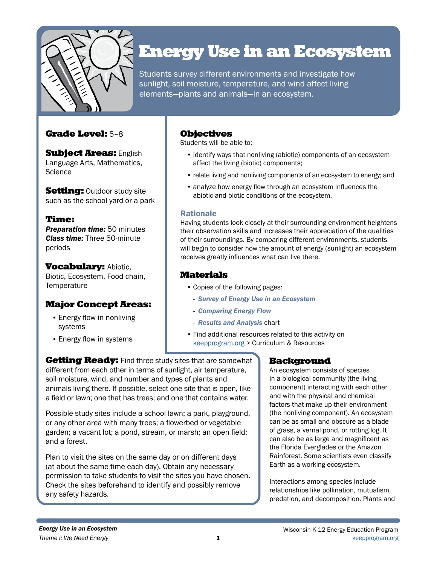

# Energy Use in an Ecosystem

Students survey different environments and investigate how sunlight, soil moisture, temperature, and wind affect living elements—plants and animals—in an ecosystem.

### Grade Level: 5–8

**Subject Areas: English** Language Arts, Mathematics, **Science** 

**Setting: Outdoor study site** such as the school yard or a park

### Time:

*Preparation time:* 50 minutes *Class time:* Three 50-minute periods

**Vocabulary: Abiotic,** Biotic, Ecosystem, Food chain, **Temperature** 

### Major Concept Areas:

- Energy flow in nonliving systems
- Energy flow in systems

### Objectives

Students will be able to:

- identify ways that nonliving (abiotic) components of an ecosystem affect the living (biotic) components;
- relate living and nonliving components of an ecosystem to energy; and
- analyze how energy flow through an ecosystem influences the abiotic and biotic conditions of the ecosystem.

#### Rationale

Having students look closely at their surrounding environment heightens their observation skills and increases their appreciation of the qualities of their surroundings. By comparing different environments, students will begin to consider how the amount of energy (sunlight) an ecosystem receives greatly influences what can live there.

## Materials

- Copies of the following pages:
	- *Survey of Energy Use in an Ecosystem*
	- *Comparing Energy Flow*
	- *Results and Analysis* chart
- Find additional resources related to this activity on [keepprogram.org](http://keepprogram.org) > Curriculum & Resources

**Getting Ready:** Find three study sites that are somewhat different from each other in terms of sunlight, air temperature, soil moisture, wind, and number and types of plants and animals living there. If possible, select one site that is open, like a field or lawn; one that has trees; and one that contains water.

Possible study sites include a school lawn; a park, playground, or any other area with many trees; a flowerbed or vegetable garden; a vacant lot; a pond, stream, or marsh; an open field; and a forest.

Plan to visit the sites on the same day or on different days (at about the same time each day). Obtain any necessary permission to take students to visit the sites you have chosen. Check the sites beforehand to identify and possibly remove any safety hazards.

### Background

An ecosystem consists of species in a biological community (the living component) interacting with each other and with the physical and chemical factors that make up their environment (the nonliving component). An ecosystem can be as small and obscure as a blade of grass, a vernal pond, or rotting log. It can also be as large and magnificent as the Florida Everglades or the Amazon Rainforest. Some scientists even classify Earth as a working ecosystem.

Interactions among species include relationships like pollination, mutualism, predation, and decomposition. Plants and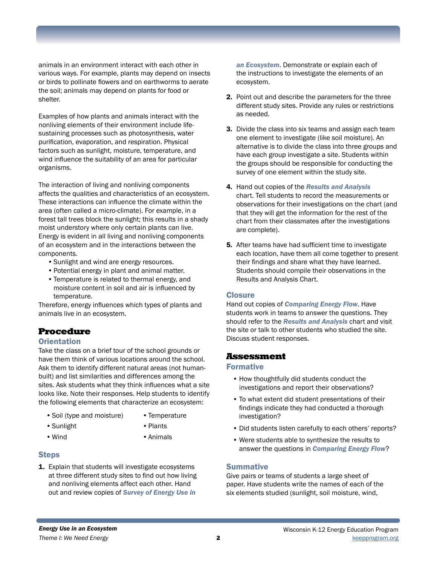animals in an environment interact with each other in various ways. For example, plants may depend on insects or birds to pollinate flowers and on earthworms to aerate the soil; animals may depend on plants for food or shelter.

Examples of how plants and animals interact with the nonliving elements of their environment include lifesustaining processes such as photosynthesis, water purification, evaporation, and respiration. Physical factors such as sunlight, moisture, temperature, and wind influence the suitability of an area for particular organisms.

The interaction of living and nonliving components affects the qualities and characteristics of an ecosystem. These interactions can influence the climate within the area (often called a micro-climate). For example, in a forest tall trees block the sunlight; this results in a shady moist understory where only certain plants can live. Energy is evident in all living and nonliving components of an ecosystem and in the interactions between the components.

- •Sunlight and wind are energy resources.
- •Potential energy in plant and animal matter.
- •Temperature is related to thermal energy, and moisture content in soil and air is influenced by temperature.

Therefore, energy influences which types of plants and animals live in an ecosystem.

#### Procedure

#### **Orientation**

Take the class on a brief tour of the school grounds or have them think of various locations around the school. Ask them to identify different natural areas (not humanbuilt) and list similarities and differences among the sites. Ask students what they think influences what a site looks like. Note their responses. Help students to identify the following elements that characterize an ecosystem:

- Soil (type and moisture) Temperature
	-

- 
- Sunlight Plants
	-
- 
- Wind Animals

#### Steps

1. Explain that students will investigate ecosystems at three different study sites to find out how living and nonliving elements affect each other. Hand out and review copies of *Survey of Energy Use in* 

*an Ecosystem*. Demonstrate or explain each of the instructions to investigate the elements of an ecosystem.

- 2. Point out and describe the parameters for the three different study sites. Provide any rules or restrictions as needed.
- 3. Divide the class into six teams and assign each team one element to investigate (like soil moisture). An alternative is to divide the class into three groups and have each group investigate a site. Students within the groups should be responsible for conducting the survey of one element within the study site.
- 4. Hand out copies of the *Results and Analysis*  chart. Tell students to record the measurements or observations for their investigations on the chart (and that they will get the information for the rest of the chart from their classmates after the investigations are complete).
- **5.** After teams have had sufficient time to investigate each location, have them all come together to present their findings and share what they have learned. Students should compile their observations in the Results and Analysis Chart.

#### **Closure**

Hand out copies of *Comparing Energy Flow*. Have students work in teams to answer the questions. They should refer to the *Results and Analysis* chart and visit the site or talk to other students who studied the site. Discuss student responses.

# Assessment

#### Formative

- How thoughtfully did students conduct the investigations and report their observations?
- To what extent did student presentations of their findings indicate they had conducted a thorough investigation?
- Did students listen carefully to each others' reports?
- Were students able to synthesize the results to answer the questions in *Comparing Energy Flow*?

#### **Summative**

Give pairs or teams of students a large sheet of paper. Have students write the names of each of the six elements studied (sunlight, soil moisture, wind,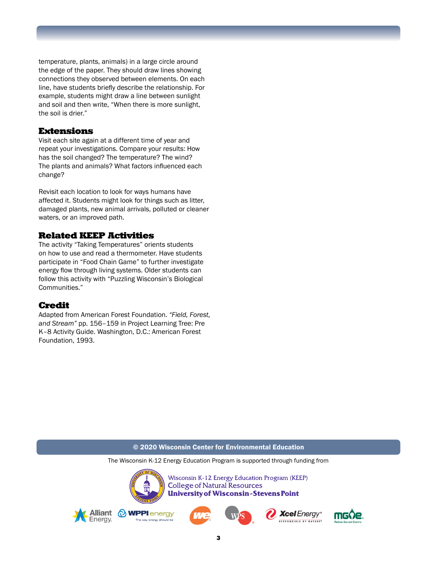temperature, plants, animals) in a large circle around the edge of the paper. They should draw lines showing connections they observed between elements. On each line, have students briefly describe the relationship. For example, students might draw a line between sunlight and soil and then write, "When there is more sunlight, the soil is drier."

#### Extensions

Visit each site again at a different time of year and repeat your investigations. Compare your results: How has the soil changed? The temperature? The wind? The plants and animals? What factors influenced each change?

Revisit each location to look for ways humans have affected it. Students might look for things such as litter, damaged plants, new animal arrivals, polluted or cleaner waters, or an improved path.

#### Related KEEP Activities

The activity "Taking Temperatures" orients students on how to use and read a thermometer. Have students participate in "Food Chain Game" to further investigate energy flow through living systems. Older students can follow this activity with "Puzzling Wisconsin's Biological Communities."

### Credit

Adapted from American Forest Foundation. *"Field, Forest, and Stream"* pp. 156–159 in Project Learning Tree: Pre K–8 Activity Guide. Washington, D.C.: American Forest Foundation, 1993.

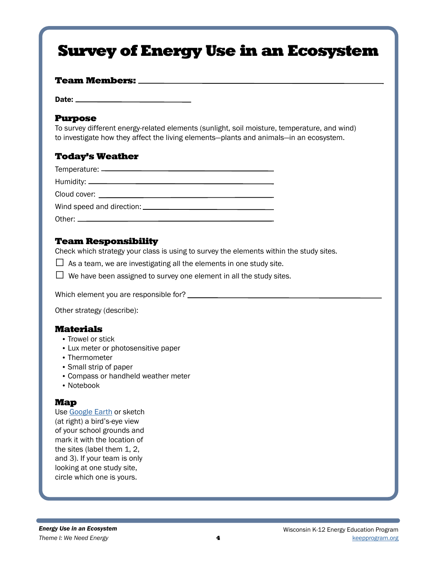# Survey of Energy Use in an Ecosystem

#### Team Members:

Date: \_\_\_

#### Purpose

To survey different energy-related elements (sunlight, soil moisture, temperature, and wind) to investigate how they affect the living elements—plants and animals—in an ecosystem.

## Today's Weather

### Team Responsibility

Check which strategy your class is using to survey the elements within the study sites.

 $\Box$  As a team, we are investigating all the elements in one study site.

 $\Box$  We have been assigned to survey one element in all the study sites.

Which element you are responsible for? \_\_\_\_\_\_\_

Other strategy (describe):

#### Materials

- Trowel or stick
- Lux meter or photosensitive paper
- Thermometer
- Small strip of paper
- Compass or handheld weather meter
- Notebook

#### Map

Use [Google Earth](https://www.google.com/earth/) or sketch (at right) a bird's-eye view of your school grounds and mark it with the location of the sites (label them 1, 2, and 3). If your team is only looking at one study site, circle which one is yours.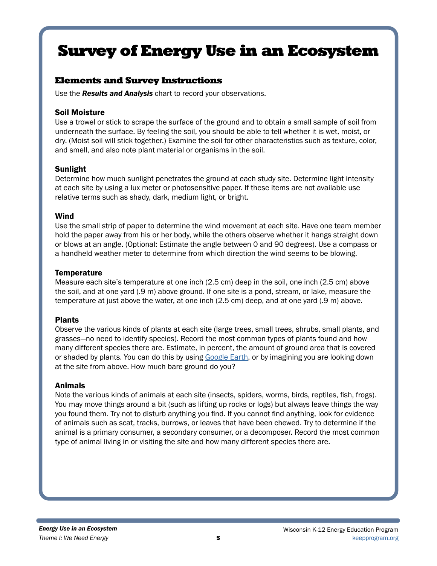# Survey of Energy Use in an Ecosystem

# Elements and Survey Instructions

Use the *Results and Analysis* chart to record your observations.

#### Soil Moisture

Use a trowel or stick to scrape the surface of the ground and to obtain a small sample of soil from underneath the surface. By feeling the soil, you should be able to tell whether it is wet, moist, or dry. (Moist soil will stick together.) Examine the soil for other characteristics such as texture, color, and smell, and also note plant material or organisms in the soil.

### Sunlight

Determine how much sunlight penetrates the ground at each study site. Determine light intensity at each site by using a lux meter or photosensitive paper. If these items are not available use relative terms such as shady, dark, medium light, or bright.

#### Wind

Use the small strip of paper to determine the wind movement at each site. Have one team member hold the paper away from his or her body, while the others observe whether it hangs straight down or blows at an angle. (Optional: Estimate the angle between 0 and 90 degrees). Use a compass or a handheld weather meter to determine from which direction the wind seems to be blowing.

### **Temperature**

Measure each site's temperature at one inch (2.5 cm) deep in the soil, one inch (2.5 cm) above the soil, and at one yard (.9 m) above ground. If one site is a pond, stream, or lake, measure the temperature at just above the water, at one inch (2.5 cm) deep, and at one yard (.9 m) above.

### Plants

Observe the various kinds of plants at each site (large trees, small trees, shrubs, small plants, and grasses—no need to identify species). Record the most common types of plants found and how many different species there are. Estimate, in percent, the amount of ground area that is covered or shaded by plants. You can do this by using [Google Earth,](https://www.google.com/earth/) or by imagining you are looking down at the site from above. How much bare ground do you?

### Animals

Note the various kinds of animals at each site (insects, spiders, worms, birds, reptiles, fish, frogs). You may move things around a bit (such as lifting up rocks or logs) but always leave things the way you found them. Try not to disturb anything you find. If you cannot find anything, look for evidence of animals such as scat, tracks, burrows, or leaves that have been chewed. Try to determine if the animal is a primary consumer, a secondary consumer, or a decomposer. Record the most common type of animal living in or visiting the site and how many different species there are.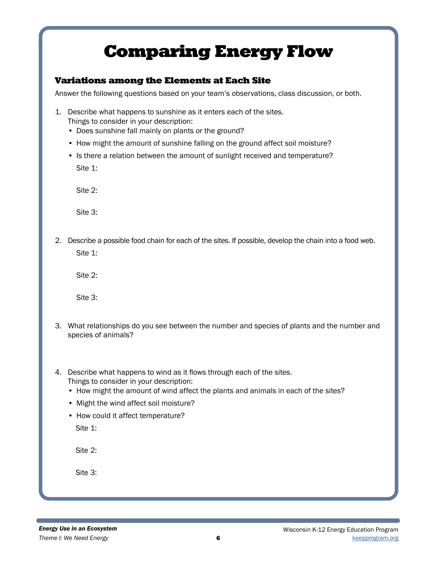# Comparing Energy Flow

## Variations among the Elements at Each Site

Answer the following questions based on your team's observations, class discussion, or both.

- 1. Describe what happens to sunshine as it enters each of the sites. Things to consider in your description:
	- Does sunshine fall mainly on plants or the ground?
	- How might the amount of sunshine falling on the ground affect soil moisture?
	- Is there a relation between the amount of sunlight received and temperature? Site 1:

Site 2:

Site 3:

2. Describe a possible food chain for each of the sites. If possible, develop the chain into a food web. Site 1:

Site 2:

Site 3:

- 3. What relationships do you see between the number and species of plants and the number and species of animals?
- 4. Describe what happens to wind as it flows through each of the sites. Things to consider in your description:
	- How might the amount of wind affect the plants and animals in each of the sites?
	- Might the wind affect soil moisture?
	- How could it affect temperature? Site 1:

Site 2:

Site 3: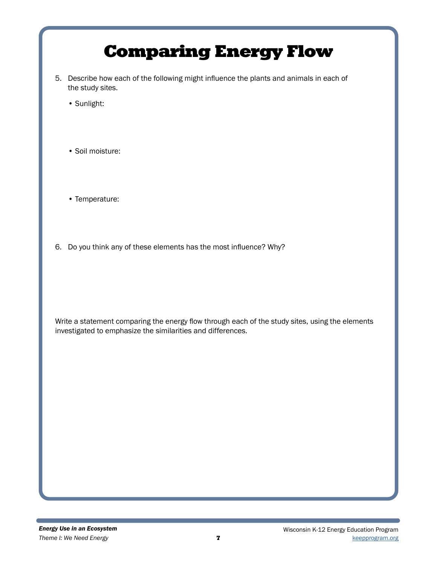# Comparing Energy Flow

- 5. Describe how each of the following might influence the plants and animals in each of the study sites.
	- Sunlight:
	- Soil moisture:
	- Temperature:
- 6. Do you think any of these elements has the most influence? Why?

Write a statement comparing the energy flow through each of the study sites, using the elements investigated to emphasize the similarities and differences.